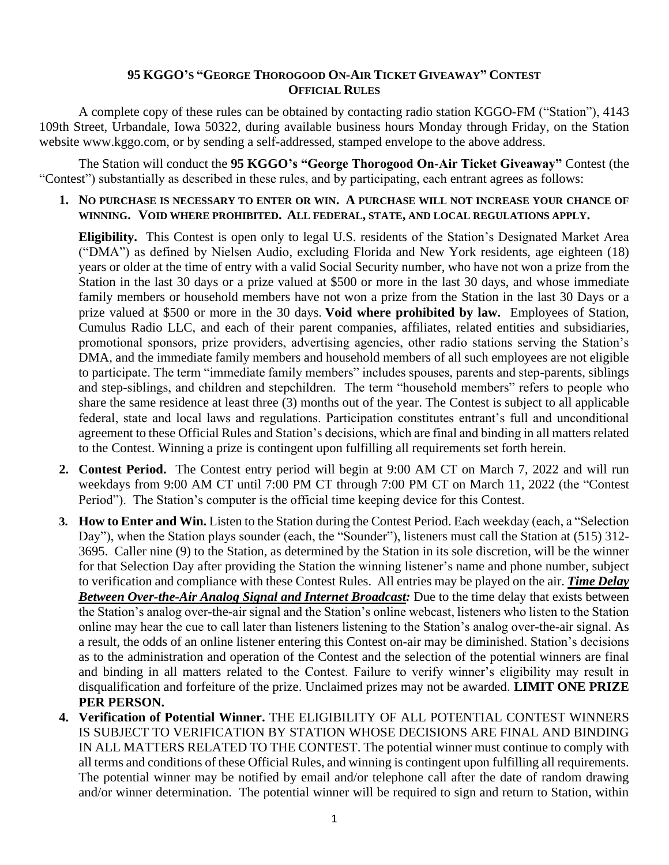## **95 KGGO'S "GEORGE THOROGOOD ON-AIR TICKET GIVEAWAY" CONTEST OFFICIAL RULES**

A complete copy of these rules can be obtained by contacting radio station KGGO-FM ("Station"), 4143 109th Street, Urbandale, Iowa 50322, during available business hours Monday through Friday, on the Station website www.kggo.com, or by sending a self-addressed, stamped envelope to the above address.

The Station will conduct the **95 KGGO's "George Thorogood On-Air Ticket Giveaway"** Contest (the "Contest") substantially as described in these rules, and by participating, each entrant agrees as follows:

**1. NO PURCHASE IS NECESSARY TO ENTER OR WIN. A PURCHASE WILL NOT INCREASE YOUR CHANCE OF WINNING. VOID WHERE PROHIBITED. ALL FEDERAL, STATE, AND LOCAL REGULATIONS APPLY.**

**Eligibility.** This Contest is open only to legal U.S. residents of the Station's Designated Market Area ("DMA") as defined by Nielsen Audio, excluding Florida and New York residents, age eighteen (18) years or older at the time of entry with a valid Social Security number, who have not won a prize from the Station in the last 30 days or a prize valued at \$500 or more in the last 30 days, and whose immediate family members or household members have not won a prize from the Station in the last 30 Days or a prize valued at \$500 or more in the 30 days. **Void where prohibited by law.** Employees of Station, Cumulus Radio LLC, and each of their parent companies, affiliates, related entities and subsidiaries, promotional sponsors, prize providers, advertising agencies, other radio stations serving the Station's DMA, and the immediate family members and household members of all such employees are not eligible to participate. The term "immediate family members" includes spouses, parents and step-parents, siblings and step-siblings, and children and stepchildren. The term "household members" refers to people who share the same residence at least three (3) months out of the year. The Contest is subject to all applicable federal, state and local laws and regulations. Participation constitutes entrant's full and unconditional agreement to these Official Rules and Station's decisions, which are final and binding in all matters related to the Contest. Winning a prize is contingent upon fulfilling all requirements set forth herein.

- **2. Contest Period.** The Contest entry period will begin at 9:00 AM CT on March 7, 2022 and will run weekdays from 9:00 AM CT until 7:00 PM CT through 7:00 PM CT on March 11, 2022 (the "Contest Period"). The Station's computer is the official time keeping device for this Contest.
- **3. How to Enter and Win.** Listen to the Station during the Contest Period. Each weekday (each, a "Selection Day"), when the Station plays sounder (each, the "Sounder"), listeners must call the Station at (515) 312- 3695. Caller nine (9) to the Station, as determined by the Station in its sole discretion, will be the winner for that Selection Day after providing the Station the winning listener's name and phone number, subject to verification and compliance with these Contest Rules. All entries may be played on the air. *Time Delay Between Over-the-Air Analog Signal and Internet Broadcast:* Due to the time delay that exists between the Station's analog over-the-air signal and the Station's online webcast, listeners who listen to the Station online may hear the cue to call later than listeners listening to the Station's analog over-the-air signal. As a result, the odds of an online listener entering this Contest on-air may be diminished. Station's decisions as to the administration and operation of the Contest and the selection of the potential winners are final and binding in all matters related to the Contest. Failure to verify winner's eligibility may result in disqualification and forfeiture of the prize. Unclaimed prizes may not be awarded. **LIMIT ONE PRIZE PER PERSON.**
- **4. Verification of Potential Winner.** THE ELIGIBILITY OF ALL POTENTIAL CONTEST WINNERS IS SUBJECT TO VERIFICATION BY STATION WHOSE DECISIONS ARE FINAL AND BINDING IN ALL MATTERS RELATED TO THE CONTEST. The potential winner must continue to comply with all terms and conditions of these Official Rules, and winning is contingent upon fulfilling all requirements. The potential winner may be notified by email and/or telephone call after the date of random drawing and/or winner determination. The potential winner will be required to sign and return to Station, within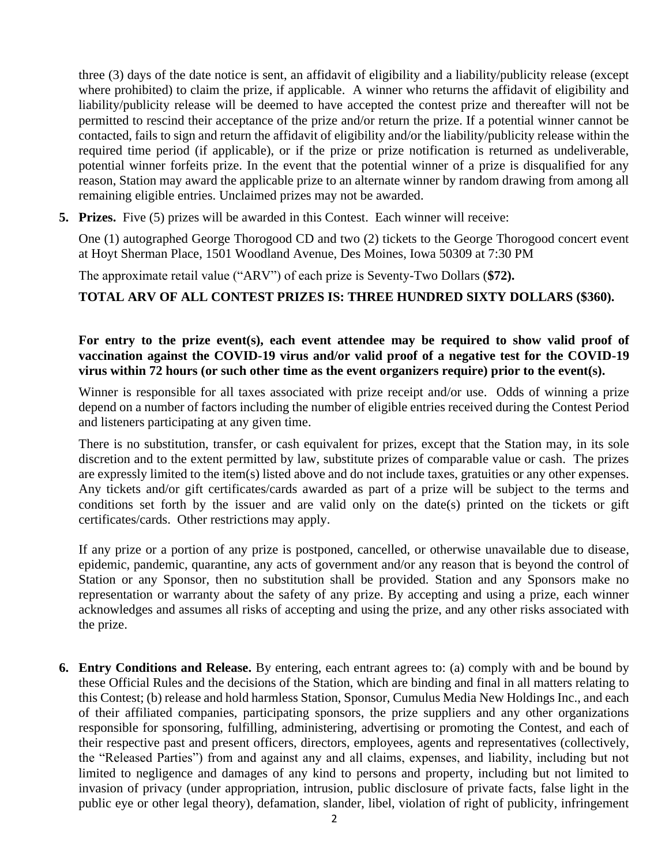three (3) days of the date notice is sent, an affidavit of eligibility and a liability/publicity release (except where prohibited) to claim the prize, if applicable. A winner who returns the affidavit of eligibility and liability/publicity release will be deemed to have accepted the contest prize and thereafter will not be permitted to rescind their acceptance of the prize and/or return the prize. If a potential winner cannot be contacted, fails to sign and return the affidavit of eligibility and/or the liability/publicity release within the required time period (if applicable), or if the prize or prize notification is returned as undeliverable, potential winner forfeits prize. In the event that the potential winner of a prize is disqualified for any reason, Station may award the applicable prize to an alternate winner by random drawing from among all remaining eligible entries. Unclaimed prizes may not be awarded.

**5. Prizes.** Five (5) prizes will be awarded in this Contest. Each winner will receive:

One (1) autographed George Thorogood CD and two (2) tickets to the George Thorogood concert event at Hoyt Sherman Place, 1501 Woodland Avenue, Des Moines, Iowa 50309 at 7:30 PM

The approximate retail value ("ARV") of each prize is Seventy-Two Dollars (**\$72).** 

**TOTAL ARV OF ALL CONTEST PRIZES IS: THREE HUNDRED SIXTY DOLLARS (\$360).**

## **For entry to the prize event(s), each event attendee may be required to show valid proof of vaccination against the COVID-19 virus and/or valid proof of a negative test for the COVID-19 virus within 72 hours (or such other time as the event organizers require) prior to the event(s).**

Winner is responsible for all taxes associated with prize receipt and/or use. Odds of winning a prize depend on a number of factors including the number of eligible entries received during the Contest Period and listeners participating at any given time.

There is no substitution, transfer, or cash equivalent for prizes, except that the Station may, in its sole discretion and to the extent permitted by law, substitute prizes of comparable value or cash. The prizes are expressly limited to the item(s) listed above and do not include taxes, gratuities or any other expenses. Any tickets and/or gift certificates/cards awarded as part of a prize will be subject to the terms and conditions set forth by the issuer and are valid only on the date(s) printed on the tickets or gift certificates/cards. Other restrictions may apply.

If any prize or a portion of any prize is postponed, cancelled, or otherwise unavailable due to disease, epidemic, pandemic, quarantine, any acts of government and/or any reason that is beyond the control of Station or any Sponsor, then no substitution shall be provided. Station and any Sponsors make no representation or warranty about the safety of any prize. By accepting and using a prize, each winner acknowledges and assumes all risks of accepting and using the prize, and any other risks associated with the prize.

**6. Entry Conditions and Release.** By entering, each entrant agrees to: (a) comply with and be bound by these Official Rules and the decisions of the Station, which are binding and final in all matters relating to this Contest; (b) release and hold harmless Station, Sponsor, Cumulus Media New Holdings Inc., and each of their affiliated companies, participating sponsors, the prize suppliers and any other organizations responsible for sponsoring, fulfilling, administering, advertising or promoting the Contest, and each of their respective past and present officers, directors, employees, agents and representatives (collectively, the "Released Parties") from and against any and all claims, expenses, and liability, including but not limited to negligence and damages of any kind to persons and property, including but not limited to invasion of privacy (under appropriation, intrusion, public disclosure of private facts, false light in the public eye or other legal theory), defamation, slander, libel, violation of right of publicity, infringement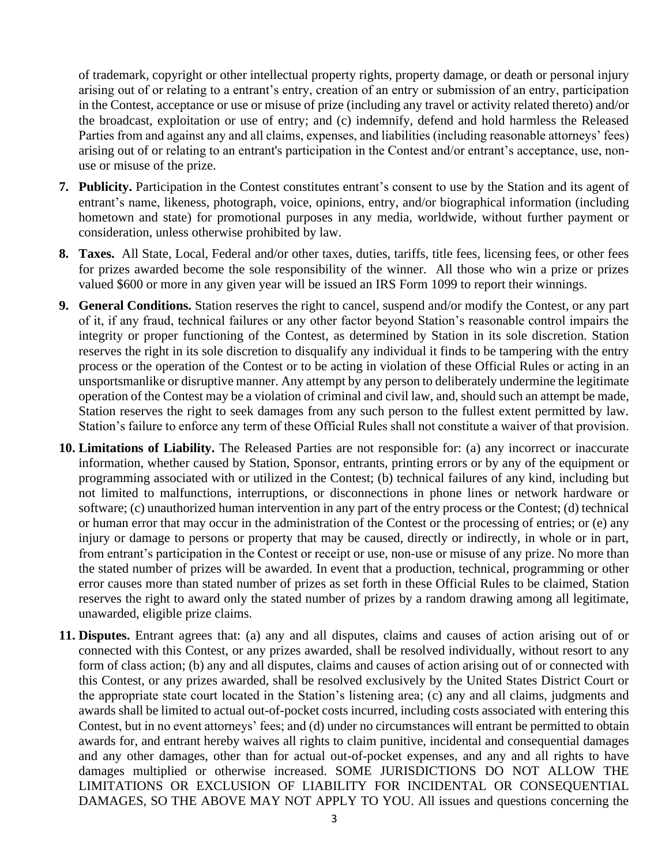of trademark, copyright or other intellectual property rights, property damage, or death or personal injury arising out of or relating to a entrant's entry, creation of an entry or submission of an entry, participation in the Contest, acceptance or use or misuse of prize (including any travel or activity related thereto) and/or the broadcast, exploitation or use of entry; and (c) indemnify, defend and hold harmless the Released Parties from and against any and all claims, expenses, and liabilities (including reasonable attorneys' fees) arising out of or relating to an entrant's participation in the Contest and/or entrant's acceptance, use, nonuse or misuse of the prize.

- **7. Publicity.** Participation in the Contest constitutes entrant's consent to use by the Station and its agent of entrant's name, likeness, photograph, voice, opinions, entry, and/or biographical information (including hometown and state) for promotional purposes in any media, worldwide, without further payment or consideration, unless otherwise prohibited by law.
- **8. Taxes.** All State, Local, Federal and/or other taxes, duties, tariffs, title fees, licensing fees, or other fees for prizes awarded become the sole responsibility of the winner. All those who win a prize or prizes valued \$600 or more in any given year will be issued an IRS Form 1099 to report their winnings.
- **9. General Conditions.** Station reserves the right to cancel, suspend and/or modify the Contest, or any part of it, if any fraud, technical failures or any other factor beyond Station's reasonable control impairs the integrity or proper functioning of the Contest, as determined by Station in its sole discretion. Station reserves the right in its sole discretion to disqualify any individual it finds to be tampering with the entry process or the operation of the Contest or to be acting in violation of these Official Rules or acting in an unsportsmanlike or disruptive manner. Any attempt by any person to deliberately undermine the legitimate operation of the Contest may be a violation of criminal and civil law, and, should such an attempt be made, Station reserves the right to seek damages from any such person to the fullest extent permitted by law. Station's failure to enforce any term of these Official Rules shall not constitute a waiver of that provision.
- **10. Limitations of Liability.** The Released Parties are not responsible for: (a) any incorrect or inaccurate information, whether caused by Station, Sponsor, entrants, printing errors or by any of the equipment or programming associated with or utilized in the Contest; (b) technical failures of any kind, including but not limited to malfunctions, interruptions, or disconnections in phone lines or network hardware or software; (c) unauthorized human intervention in any part of the entry process or the Contest; (d) technical or human error that may occur in the administration of the Contest or the processing of entries; or (e) any injury or damage to persons or property that may be caused, directly or indirectly, in whole or in part, from entrant's participation in the Contest or receipt or use, non-use or misuse of any prize. No more than the stated number of prizes will be awarded. In event that a production, technical, programming or other error causes more than stated number of prizes as set forth in these Official Rules to be claimed, Station reserves the right to award only the stated number of prizes by a random drawing among all legitimate, unawarded, eligible prize claims.
- **11. Disputes.** Entrant agrees that: (a) any and all disputes, claims and causes of action arising out of or connected with this Contest, or any prizes awarded, shall be resolved individually, without resort to any form of class action; (b) any and all disputes, claims and causes of action arising out of or connected with this Contest, or any prizes awarded, shall be resolved exclusively by the United States District Court or the appropriate state court located in the Station's listening area; (c) any and all claims, judgments and awards shall be limited to actual out-of-pocket costs incurred, including costs associated with entering this Contest, but in no event attorneys' fees; and (d) under no circumstances will entrant be permitted to obtain awards for, and entrant hereby waives all rights to claim punitive, incidental and consequential damages and any other damages, other than for actual out-of-pocket expenses, and any and all rights to have damages multiplied or otherwise increased. SOME JURISDICTIONS DO NOT ALLOW THE LIMITATIONS OR EXCLUSION OF LIABILITY FOR INCIDENTAL OR CONSEQUENTIAL DAMAGES, SO THE ABOVE MAY NOT APPLY TO YOU. All issues and questions concerning the